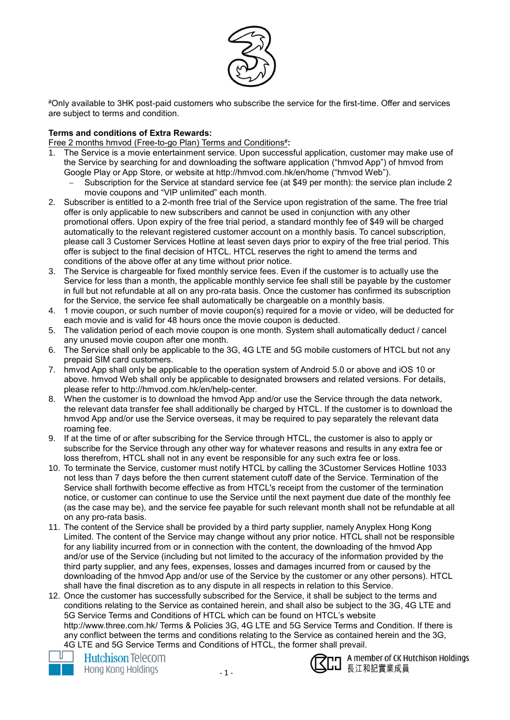

#Only available to 3HK post-paid customers who subscribe the service for the first-time. Offer and services are subject to terms and condition.

## **Terms and conditions of Extra Rewards:**

Free 2 months hmvod (Free-to-go Plan) Terms and Conditions#:

- 1. The Service is a movie entertainment service. Upon successful application, customer may make use of the Service by searching for and downloading the software application ("hmvod App") of hmvod from Google Play or App Store, or website at http://hmvod.com.hk/en/home ("hmvod Web").
	- Subscription for the Service at standard service fee (at \$49 per month): the service plan include 2 movie coupons and "VIP unlimited" each month.
- 2. Subscriber is entitled to a 2-month free trial of the Service upon registration of the same. The free trial offer is only applicable to new subscribers and cannot be used in conjunction with any other promotional offers. Upon expiry of the free trial period, a standard monthly fee of \$49 will be charged automatically to the relevant registered customer account on a monthly basis. To cancel subscription, please call 3 Customer Services Hotline at least seven days prior to expiry of the free trial period. This offer is subject to the final decision of HTCL. HTCL reserves the right to amend the terms and conditions of the above offer at any time without prior notice.
- 3. The Service is chargeable for fixed monthly service fees. Even if the customer is to actually use the Service for less than a month, the applicable monthly service fee shall still be payable by the customer in full but not refundable at all on any pro-rata basis. Once the customer has confirmed its subscription for the Service, the service fee shall automatically be chargeable on a monthly basis.
- 4. 1 movie coupon, or such number of movie coupon(s) required for a movie or video, will be deducted for each movie and is valid for 48 hours once the movie coupon is deducted.
- 5. The validation period of each movie coupon is one month. System shall automatically deduct / cancel any unused movie coupon after one month.
- 6. The Service shall only be applicable to the 3G, 4G LTE and 5G mobile customers of HTCL but not any prepaid SIM card customers.
- 7. hmvod App shall only be applicable to the operation system of Android 5.0 or above and iOS 10 or above. hmvod Web shall only be applicable to designated browsers and related versions. For details, please refer to http://hmvod.com.hk/en/help-center.
- 8. When the customer is to download the hmvod App and/or use the Service through the data network, the relevant data transfer fee shall additionally be charged by HTCL. If the customer is to download the hmvod App and/or use the Service overseas, it may be required to pay separately the relevant data roaming fee.
- 9. If at the time of or after subscribing for the Service through HTCL, the customer is also to apply or subscribe for the Service through any other way for whatever reasons and results in any extra fee or loss therefrom, HTCL shall not in any event be responsible for any such extra fee or loss.
- 10. To terminate the Service, customer must notify HTCL by calling the 3Customer Services Hotline 1033 not less than 7 days before the then current statement cutoff date of the Service. Termination of the Service shall forthwith become effective as from HTCL's receipt from the customer of the termination notice, or customer can continue to use the Service until the next payment due date of the monthly fee (as the case may be), and the service fee payable for such relevant month shall not be refundable at all on any pro-rata basis.
- 11. The content of the Service shall be provided by a third party supplier, namely Anyplex Hong Kong Limited. The content of the Service may change without any prior notice. HTCL shall not be responsible for any liability incurred from or in connection with the content, the downloading of the hmvod App and/or use of the Service (including but not limited to the accuracy of the information provided by the third party supplier, and any fees, expenses, losses and damages incurred from or caused by the downloading of the hmvod App and/or use of the Service by the customer or any other persons). HTCL shall have the final discretion as to any dispute in all respects in relation to this Service.
- 12. Once the customer has successfully subscribed for the Service, it shall be subject to the terms and conditions relating to the Service as contained herein, and shall also be subject to the 3G, 4G LTE and 5G Service Terms and Conditions of HTCL which can be found on HTCL's website http://www.three.com.hk/ Terms & Policies 3G, 4G LTE and 5G Service Terms and Condition. If there is any conflict between the terms and conditions relating to the Service as contained herein and the 3G, 4G LTE and 5G Service Terms and Conditions of HTCL, the former shall prevail.





nn A member of CK Hutchison Holdings 長江和記實業成員